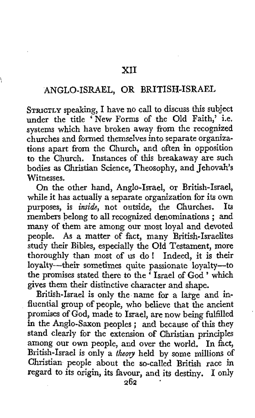## ANGLO-ISRAEL, OR BRITISH-ISRAEL

\

**STRICTLY** speaking, I have no call to discuss this subject under the title 'New Forms of the Old Faith,' i.e. systems which have broken away from the recognized churches and formed themselves into separate organizations apart from the Church, and often in opposition to the Church, Instances of this breakaway are such bodies as Christian Science, Theosophy, and Jehovah's Witnesses.

On the other hand, Anglo-Israel, or British-Israel, while it has actually a separate organization for its own<br>purposes, is *inside*, not outside, the Churches. Its purposes, is *inside*, not outside, the Churches. members belong to all recognized denominations ; and many of them are among our most loyal and devoted people. **As** a matter of fact, many British-Israelites study their Bibles, especially the Old Testament, more thoroughly than most of us do ! Indeed, it is their loyalty-their sometimes quite passionate loyalty-to the promises stated there to the ' Israel of God ' which gives them their distinctive character and shape.

British-Israel is only the name for **a** large and influential group **of** people, who believe that the ancient promises of God, made to Israel, are now being fulfilled *in* the Anglo-Saxon peoples ; and because of this they stand clearly for the extension of Christian principles among our own people, and over the world. In fact, British-Israel is only a *theory* held by some millions of Christian people about the so-called British race in regard to its origin, its favour, and its destiny. **I** only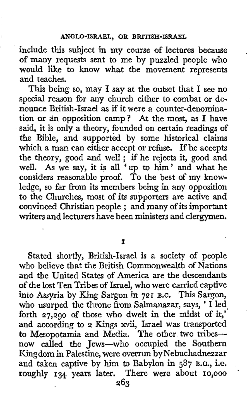include this subject in my course of lectures because of many requests sent to me by puzzled people who would like to know what the movement represents and teaches.

This being so, may I say at the outset that I see no special reason for any church either to combat or denounce British-Israel as if it were a counter-denomination or an opposition camp? At the most, as I have said, it is only a theory, founded on certain readings of the Bible, and supported by some historical claims which a man can either accept or refuse. If he accepts which a man can either accept or refuse. If he accepts<br>the theory, good and well ; if he rejects it, good and well. **As** we say, it is all 'up to him' and what he considers reasonable proof. To the best of my knowledge, so far from its members being in any opposition to the Churches, most of its supporters are active and convinced Christian people ; and many of its important writers **and** lecturers have been ministers and clergymen.

**I** 

Stated shortly, British-Israel is *a* society of people who believe that the British Commonwealth of Nations and the United States of America are the descendants of the lost Ten Tribes of Israel, who were carried captive into **Assyria** by King Sargon in **721** B.C. This Sargon, who usurped the throne from Salmanazar, says, ' I led forth **27,290** of those who dwelt in the midst of it,' and according to **2** Kings xvii, Israel was transported **to** Mesopotamia and Media. The other two tribesnow called the Jews-who occupied the Southern Kingdom in Palestine, were overrun by Nebuchadnezzar and taken captive by him to Babylon in 587 B.c., i.e. roughly **134** years later. There were about **IO,OOO** ' **263**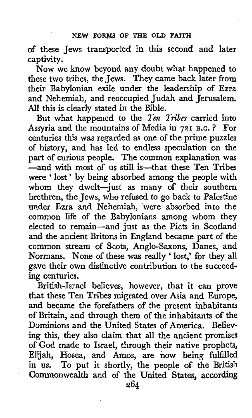of these Jews transported in this second and later captivity.

Now we know beyond any doubt what happened to these two tribes, the Jews. They came back later from their Babylonian exile under the leadership of Ezra and Nehemiah, and reoccupied Judah and Jerusalem. All this is clearly stated in the Bible.

But what happened to the *Ten Tm'bes* carried into Assyria and the mountains of Media in **721 B.C.** ? For centuries this was regarded as one of the prime puzzles of history, and has led to endless speculation on the part of curious people. The common explanation was -and with most of us still is-that these Ten Tribes were ' lost ' by being absorbed among the people with whom they dwelt-just as many of their southern brethren, the Jews, who refused to go back to Palestine under Ezra and Nehemiah, were absorbed into the common life of the Babylonians among whom they elected to remain-and just as the Picts in Scotland and the ancient Britons in England became part of the common stream of Scots, Anglo-Saxons, Danes, and Normans. None of these was really ' lost,' for they all gave their own distinctive contribution to the succeeding centuries.

British-Israel believes, however, that it can prove that these Ten Tribes migrated over Asia and Europe, and became the forefathers **of** the present inhabitants of Britain, and through them of the inhabitants of the Dominions and the United States of America. Believing this, they also claim that all the ancient promises of God made to Israel, through their native prophets, Elijah, Hosea, and Amos, axe **now** being fulfilled in us. To put it shortly, the people of the British Commonwealth and of the **United** States, according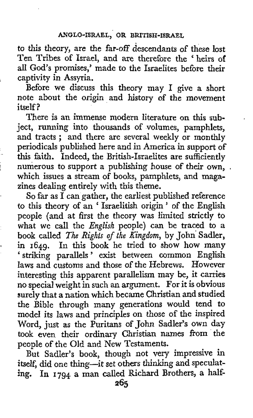to this theory, are the far-off descendants of these lost Ten Tribes of Israel, and are therefore the ' heirs of all God's promises,' made to the Israelites before their captivity in Assyria.

Before we discuss this theory may I give a short note about the origin and history of the movement itself?

There is an immense modern literature on this subject, running into thousands of volumes, pamphlets, and tracts ; and there are several weekly or monthly periodicals published here and in America in support of this faith. Indeed, the British-Israelites are sufficiently numerous to support a publishing house of their own. which issues a stream of books, pamphlets, and magazines dealing entirely with this theme.

So far as I can gather, the earliest published reference to this theory of an ' Israelitish origin ' of the English people (and at first the theory was limited strictly to what we call the *English* people) can be traced to a book called *The Rights* of *the Kingdom,* by John' Sadler, in **1649.** In this book he tried to show **how** many ' striking parallels ' exist between common English laws and customs **and** those of the Hebrews. However interesting this apparent parallelism may be, it carries no special weight in such an argument. For it is obvious surely that **a** nation which became Christian and studied the Bible through many generations would tend to model its laws and principles on those of the inspired Word, just as the Puritans of John Sadler's own day took even their ordinary Christian names from the people of the Old and New Testaments.

But Sadler's book, though not very impressive in itself, did one thing-it set others thinking and speculat**ing.** In **1794** *a* man called Richard Brothers, **a** half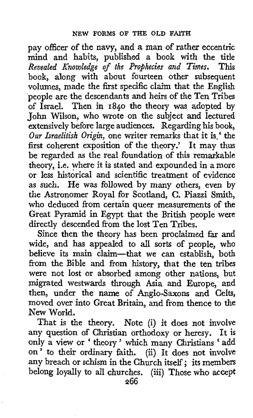pay officer of the navy, and *a* **man** of rather eccentric mind and habits, published a book with the title *Revealed Knowledge of the Prophecies and Times.* This book, along with about fourteen other subsequent volumes, made the first specific claim that the English people are the descendants **and** heirs of the Ten Tribes of Israel. Then in **1840** the theory was adopted by John Wilson, who wrote on the subject and lectured extensively before large audiences. Regarding his **book,**  *Our Israelitish Origin,* one writer remarks that it is,' the first coherent exposition of the theory.' It may thus be regarded as the real foundation of this remarkable theory, i.e. where it is stated and expounded in a more or less historical and scientific treatment of evidence as such. He was followed by many others, even by the Astronomer Royal for Scotland, *C.* Piazzi Smith, who deduced from certain queer measurements of the Great Pyramid in Egypt that the British people were directly descended from the lost Ten Tribes.

Since then the theory has been prodaimed **far** and wide, and has appealed to all sorts of people, **who**  believe its main claim-that we can establish, both from the Bible and from history, that the ten tribes were not lost or absorbed among other nations, but migrated westwards through Asia and Europe, and then, under the name of Anglo-Saxons and Celts, moved over into Great Britain, and from thence to the New World.

That is the theory. Note (i) it does not involve any question of Christian orthodoxy or heresy. It is any question of Christian orthodoxy or heresy. It is<br>only a view or 'theory' which many Christians 'add on' to their ordinary faith. (ii) It does not involve any breach or schism in the Church itself: its members belong loyally to all churches. (iii) Those who accept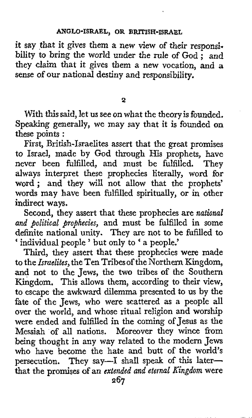## **ANGLO-ISRAEL, OR BRITISH-ISRAEL**

it say that it gives them a new view of their responsibility to bring the world under the rule of God : and they claim that it gives them a new vocation, and **a**  sense *of* **our** national destiny and responsibility.

**2** 

With this said, let us see on what the theory **is** founded. Speaking generally, we may say that it is founded on these points :

First, British-Israelites assert that the great promises to Israel, made by God through His prophets, have never been fulfilled, and must be fulfilled. They always interpret these prophecies literally, word for word; and they will not allow that the prophets' words may have been fulfilled spiritually, or in other indirect ways.

Second, they assert that these prophecies are *national and political prophecies,* and must be fulfilled in some definite national unity. They are not to be fufilled to ' individual people ' but only to ' a people.'

Third, they assert that these prophecies were made to the *Israelites*, the Ten Tribes of the Northern Kingdom, and not to the Jews, the two tribes of the Southern Kingdom. This allows them, according to their view, to escape the awkward dilemma presented to us by the fate of the Jews, who were scattered as a people **all**  over the world, and whose ritual religion and worship were ended and fulfilled in the coming of Jesus as the Messiah of all nations. Moreover they wince from being thought in any way related to the modern Jews who have become the hate and butt of the world's persecution. They say—I shall speak of this laterthat the **promises** *of* **an** *extended and eternal Kingdom* were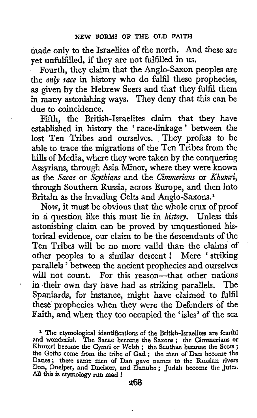made only to the Israelites of the north. And these are yet unfulfilled, if they are not fulfilled in us.

Fourth, they claim that the Anglo-Saxon peoples are the *only race* in history who do fulfil these prophecies, as given by the Hebrew Seers and that they fulfil them in many astonishing ways. They deny that **this** can be due to coincidence.

Fifth, the British-Israelites claim that they have established in history the ' race-linkage ' between the lost Ten Tribes and ourselves. They profess to be able to trace the migrations of the Ten Tribes from the **hills** of Media, where they were taken by the conquering Assyrians, through Asia Minor, where they were **known**  as the *Sacae* or *Scythians* and the *Cimmerians* or *Khumri,*  through Southern Russia, across Europe, and then into Britain as the invading Celts and Anglo-Saxons.1

**Now,** it must be obvious that the whole crux of proof in **a** question like this must lie in *histmy.* Unless this astonishing claim can be proved by unquestioned historical evidence, **our** claim to be the descendants of the Ten Tribes will be no more valid than the claims of other peoples to a similar descent ! Mere ' striking parallels ' between the ancient prophecies and ourselves will not count. For this reason-that other nations in their **own** day have had as striking parallels. The Spaniards, for instance, might have claimed to fulfil these prophecies when they were the Defenders of the Faith, and when they too occupied the 'isles' of the sea

'

<sup>1</sup> The etymological identifications of the British-Israelites are fearful and wonderful. The Sacae become the Saxons; the Cimmerians or Khumri become the Cymri or Welsh ; the Scuthae become the Scots; the Goths come from the tribe of Gad ; the nien of Dan become the Danes; these same men of Dan gave **names** to the Russian rivers Don, Dneiper, and Dneister, and Danube ; Judah become the Jutes. Don, Dneiper, and Dneister, and Danube; Judah become the Jutes.<br>All this is etymology run mad !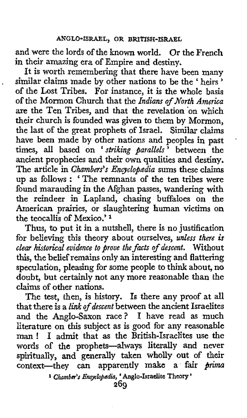and were the lords of the known world. Or the French in their amazing era of Empire **and** destiny.

,

It is worth remembering that there have been many similar claims made by other nations to be **the** ' heirs ' of the Lost Tribes. For instance, it is the whole basis **of** the Mormon Church that the *Indians of North America*  **are** the Ten Tribes, and that the revelation 'on which their church is founded was given to them by Mormon, the last **of** the great prophets of Israel. **Similar** claims have been made by other nations and peoples in past times, all based on ' *striking parallels*<sup>5</sup> between the ancient prophecies and their own qualities and destiny. The article in *Chambers's Encyclopædia* sums these claims up **as** follows : ' The remnants of the ten tribes were found marauding in the Afghan passes, wandering with the reindeer in Lapland, chasing buffaloes on the American prairies, or slaughtering human victims on the teocallis of Mexico.' **<sup>1</sup>**

Thus, **to** put it in a nutshell, there is no justification for believing this theory about ourselves, *unless there* **is**  *clear historical evidence to prove the fats of descent.* Without **this,** the belief remains only **an** interesting and flattering speculation, pleasing for some people to think about, no doubt, but certainly not any more reasonable than the claims of other nations.

The test, then, is history. Is there any proof at all that there is a *link of descent* between the ancient Israelites and the Anglo-Saxon race? **I** have read as much literature on **this** subject *as* is good for any reasonable man ! **<sup>I</sup>**admit that **as** the British-Israelites use the words of the prophets-always literally and never spiritually, **and** generally taken wholly **out of** their context-they *can* apparently **make** *a* fair *prima* 

**<sup>1</sup>***Chambar's Emybj@dla,* **Anglo-Israelite** Theory '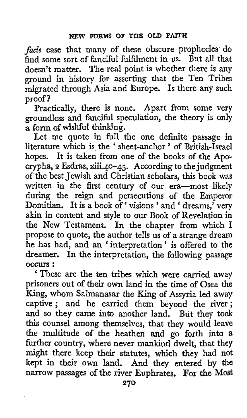*facie* case that many of these obscure prophecies do find some sort of fanciful fulfilment in us. But all that doesn't matter, The real point is whether there is any ground in history for asserting that the Ten Tribes migrated through Asia and Europe. Is there any such proof?

Practically, there is none. Apart from some very groundless and fanciful speculation, the theory is only a form of wishful thinking.

Let me quote in full the one definite passage in literature which is the ' sheet-anchor ' of British-Israel hopes. It is taken from one of the books of the Apo; crypha, **2** Esdras, xiii.40-45. According to the judgment of the best Jewish and Christian scholars, this book was written in the first century of our era-most likely during the reign and persecutions of the Emperor Domitian. It is a book of' visions ' and ' dreams,' very akin in content and style to our Book of Revelation in **the** New Testament. In the chapter from which I propose to quote, the author tells us of a strange dream he has had, and an 'interpretation' is offered to the dreamer. In the interpretation, the following passage occurs : ' These are the ten tribes which were carried away

prisoners out of their own land in the time of Osea the King, whom Salmanasar the King of Assyria led away captive; and he carried them beyond the river; and so they came into another land. But they took this counsel among themselves, that they would leave the multitude **of** the heathen and **go** forth into a further country, where never mankind dwelt, that they might there keep their statutes, which they had not kept in their **own** land. And they entered by the narrow passages of the river Euphrates. For the Most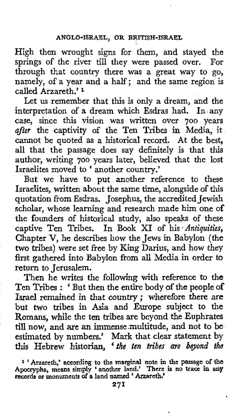High then wrought signs for them, and stayed the springs of the river till they were passed over. For through that country there was a great way to go, namely, of a year and a half; and the same region is called Arzareth.' **<sup>1</sup>**

Let us remember that this is only a dream, and the interpretation of a dream which Esdras had. In.any case, since this vision was written over 700 years after the captivity **of** the Ten Tribes in Media, it cannot be quoted as a historical record. At the best, all that the passage does say definitely is that this author, writing 700 years later, believed that the lost Israelites moved to 'another country.'

But we have to put another reference to these Israelites, written about the same time, alongside of this quotation from Esdras. Josephus, the accredited Jewish scholar, whose learning and research made him one **of**  the founders of historical study, also speaks of these captive Ten Tribes. In Book XI of his Antiquities, Chapter V, he describes how the Jews in Babylon (the two tribes) were set free by King Darius, and how they first gathered into Babylon from all Media in order to return to Jerusalem.

Then he writes the following with reference to the Ten Tribes : 'But then the entire body of the people of Israel remained in that country ; wherefore there *are*  but two tribes in **Asia** and Europe subject to the Romans, while the ten tribes are beyond the Euphrates till now, and arc an immense.multitude, and not to be estimated by numbers.' **Mark** that clear statement by this Hebrew historian, ' *ih8 ten tribes are bgond the* 

<sup>&</sup>lt;sup>1</sup> 'Arzareth,' according to the marginal note in the passage of the Apocrypha, means simply 'another land.' There is no trace in any records or monuments of a land named 'Arzareth.'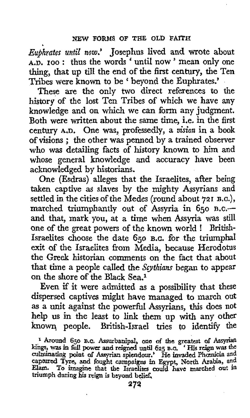*Eujhrutes until now,'* Josephus lived **and** wrote about **A.D. IOO** : thus the words ' until now ' mean only one **thing,** that up till the end of the first century, the Ten Tribes were known to be ' beyond the Euphrates.'

These are the only two direct references to the history of the lost Ten Tribes of which we have any knowledge and on which we can form any judgment. Both were written about the same time, i.e. in the first century A.D. One was, professedly, a *vision* in a book of visions ; the other was penned by a trained observer who was detailing facts of history known to him and whose general knowledge and accuracy have been acknowledged by historians.

One (Esdras) alleges that the Israelites, after being taken captive as slaves by the mighty Assyrians and settled in the cities of the Medes (round about **721 B.c.),**  marched triumphantly out of Assyria in 650 B.C.and that, mark you, at a time when Assyria was still one of the great powers **of** the known world ! British-Israelites choose the date 650 **B.G.** for the triumphal exit of the Israelites from Media, because Herodotus the Greek historian comments on the fact that about that time **a** people called the *Scythians* began to appear on the shore of the Black Sea.1

Even if it were admitted as a possibility that these dispersed captives might have managed to march out as a unit against the powefil Assyrians, this does not **help** us in the least to link **them** up with any **other**  known people. British-Israel tries to identify the

<sup>&</sup>lt;sup>1</sup> Around 650 B.C. Assurbanipal, one of the greatest of Assyrian kings, was in full power and reigned until 625 B.C. 'His reign was the culminating point of Assyrian splendour.' He invaded Phomicia and captured Tyre, and **triumph during his reign is beyond bdief,**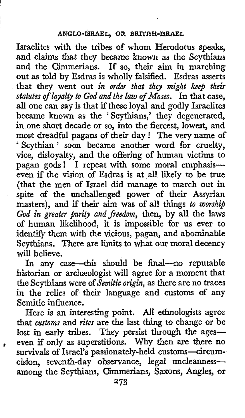## **ANGLO-ISRAEL, OR BRITISH-ISRAEL**

Israelites with the tribes of whom Herodotus speaks, and claims that they became known as the Scythians and the Cimmerians. If so, their aim in marching out as told by Esdras is wholly falsified. Esdras asserts that they went out *in order that they might keep their statutes of loyalty to God and the law of Moses.* In that case, all one can say is that if these loyal and godly Israelites became known as the 'Scythians,' they degenerated, in one short decade or so, into the fiercest, lowest, and most dreadful pagans of their day ! The very name of ' Scythian ' soon became another word for cruelty, vice, disloyalty, and the offering of human victims to pagan gods! I repeat with some moral emphasiseven if the vision of Esdras is at all likely to be true (that the men of Israel did manage to march out in spite of the unchallenged power of their Assyrian masters), and if their aim was of all things to worship *God in greater purity and freedom,* then, by all the laws of human likelihood, it is impossible for us ever to identify them with the vicious, pagan, and abominable Scythians. There are limits to what our moral decency will believe.

In any case—this should be final—no reputable historian or archzeologist will agree for a moment that the Scythians were of *Semitic origin,* as there are no traces in the relics of their language and customs of any Semitic influence.

Here is an interesting point. All ethnologists agree that *customs* and *rites* are the last thing to change or be lost in early tribes. They persist through the ages-even if only as superstitions. Why then are there no survivals of Israel's passionately-held customs-circumcision, seventh-day observance, legal uncleannessamong the Scythians, Cimmerians, Saxons, Angles, or

@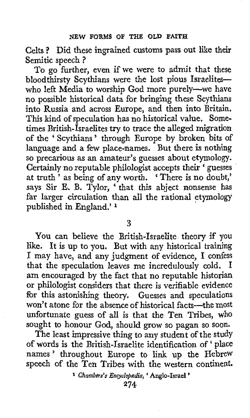Celts ? Did these ingrained customs pass out like their Semitic speech ?

To go further, even if we were to admit that these bloodthirsty Scythians were the lost pious Israeliteswho left Media to worship God more purely-we have no possible historical data for bringing these Scythians into Russia and across Europe, and then into Britain. This kind of speculation has no historical value. Sometimes British-Israelites try to trace the alleged migration **of** the ' Scythians ' through Europe by broken bits of language and a few place-names. But there is nothing so precarious as an amateur's guesses about etymology. Certainly no reputable philologist accepts their ' guesses at truth ' as being of any worth. ' There is no doubt,' says Sir **E. B.** Tylor, ' that this abject nonsense has far larger circulation than all the rational etymology pubIished in England.' **<sup>1</sup>**

**3** 

You can believe the British-Israelite theory if you like. It is up to you. But with any historical training I may have, and any judgment of evidence, **I** confess that the speculation leaves me incredulously cold. **am** encouraged by the fact that no reputable historian or philologist considers that there is verifiable evidence for this astonishing theory. Guesses and speculations won't atone for the absence of historical facts-the most unfortunate guess of all is that the Ten Tribes, **who**  sought to honour God, should grow so pagan so soon.

The least impressive thing to any student of the study of words is the British-Israelite identification of ' place names' throughout Europe to link up the Hebrew speech of the Ten Tribes with the western continent.

**<sup>l</sup>***Chambers's Encyclobedia,* ' **Anglo-Israel** '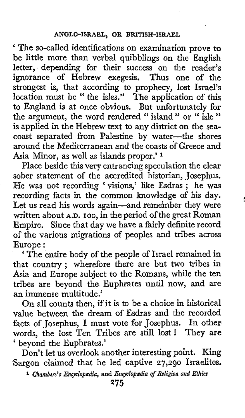The so-called identifications on examination prove to be little more than verbal quibblings on the English letter, depending for their success on the reader's ignorance of Hebrew exegesis. Thus one of the strongest is, that according to prophecy, lost Israel's location must be " the isles." The application of **this**  to England is at once obvious. But unfortunately for the argument, the word rendered " island " or " isle " is applied in the Hebrew text to any district on the seacoast separated from Palestine by water-the shores around the Mediterranean and the coasts df Greece and Asia Minor, as well as islands proper.'

Place beside this very entrancing speculation the clear sober statement of the accredited historian, Josephus. soper statement of the accreatied historian, Josephus.<br>He was not recording 'visions,' like Esdras ; he was recording facts in the common knowledge of his day. Let us read his words again-and remember they were written about **A.D. 100,** in the period of the great Roman Empire. Since that day we have a fairly definite record of the various migrations of peoples and tribes across Europe :

' The entire body of the people of Israel remained in that country; wherefore there are but two tribes in Asia. and Europe subject to the Romans, while the ten tribes are beyond the Euphrates until now, and **are**  an immense multitude.'

On all counts then, if it is to be a choice in historical value between the dream of Esdras and the recorded facts of Josephus, **I** must vote for Josephus. In other words, the lost Ten Tribes are still lost ! They are beyond the Euphrates.'

Don't let us overlook another interesting point. King Sargon claimed that he led captive **27,290** Israelites,

<sup>1</sup> Chambers's Encyclopædia, and *Encyclopædia of Religion and Ethics*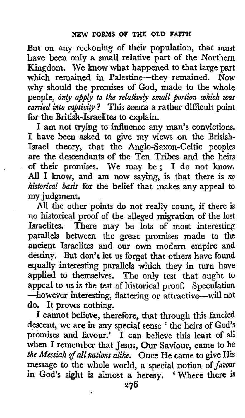But on any reckoning of their population, that must have been only a small relative part of the Northern Kingdom. We know what happened to that large part which remained in Palestine-they remained. Now why should the promises of God, made to the whole people, *only apply to the relatively small portion which was carried into captivip* ? **This** seems a rather difficult point for the British-Israelites to explain.

I am not **trying** to influence any man's convictions. **I** have been asked to give my views on the British-Israel theory, that the Anglo-Saxon-Celtic peoples are the descendants of the Ten Tribes and the heirs of their promises. We may be; I do not know. *All* I know, and am now saying, is that there is *no hktorical* **basis** for the belief that makes **any** appeal to my judgment.

All the other points do not really count, if there is no historical proof of the alleged migration of the lost<br>Israelites. There may be lots of most interesting There may be lots of most interesting parallels between the great promises made to the ancient Israelites and our own modern empire and destiny. But don't let us forget that others have found equally interesting parallels which they in turn have applied to themselves. The only test that ought to appeal to us is the test of historical proof. Speculation -however interesting, flattering or attractive-will not do. It proves nothing.

I cannot believe, therefore, that through this fancied descent, we are in any special sense ' the heirs of God's promises and favour.' **I** can believe this least of all when I remember that Jesus, Our Saviour, came to be *the Messiah ofall nations alike.* Once He came to give **His**  message to the whole world, a special notion of *favour*  in **God's** sight is almost a heresy. Where there **is** 

*7*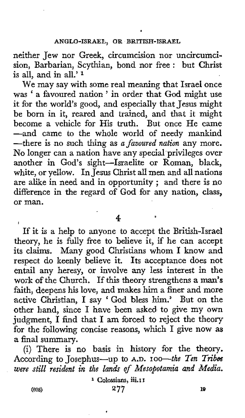.

neither Jew nor Greek, circumcision nor uncircumcision, Barbarian, Scythian, bond nor free : but Christ is all, and in all.' $1$ 

We may say with some real meaning that Israel once was ' a favoured nation ' in order that God might use it for the world's good, and especially that Jesus might be born in it, reared and trained, and that it might become a vehicle for His truth. But once He came -and came to the whole world of needy mankind -there is no such thing as *a favoured nation* any more. No longer can a nation have any special privileges over another in God's sight-Israelite or Roman, black, white, or yellow. In Jesus Christ all men and all nations are alike in need and in opportunity ; and there is no difference in the regard of God for any nation, class, or man.

**4** 

*61* 

If it is a help to anyone to accept the British-Israel theory, he is fully free to believe it, if he can accept its claims. Many good Christians whom I know and respect do keenly believe it. Its acceptance does not entail any heresy, or involve any less interest in the work of the Church. If this theory strengthens a man's faith, deepens his love, and makes him a finer and more active Christian, I say 'God bless him.' But on the other hand, since I have been asked. to give my own judgment, I find that I am forced to reject the theory for the following concise reasons, which I give now **as**  a final summary.

(i) There is no basis in history for the theory. According to Josephus-up to A.D. 100-the Ten Tribes *were still resident in tile lands of Mesopotamia and Media.* 

**1 Colossians, iii.1 I** 

I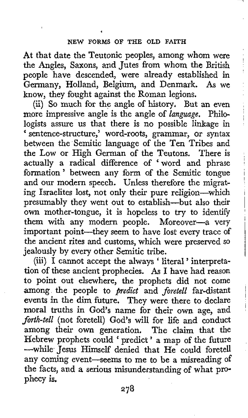At that date the Teutonic peoples, among whom were the Angles, Saxons, and Jutes from whom the British people have descended, were already established in Germany, Holland, Belgium, and Denmark. **As** we know, they fought against the Roman legions.

(ii) So much for the angle of history. But an even more impressive angle is the angle of *language.* Philologists assure us that there is no possible linkage in sentence-structure,' word-roots, grammar, or syntax between the Semitic language of the Ten Tribes and the Low or High German of the Teutons. There is actually a radical difference of 'word and phrase formation' between any form of the Semitic tongue and our modern speech. Unless therefore the migrating Israelites lost, not only their pure religion-which presumably they went out to establish-but also their own mother-tongue, it is hopeless to **try** to identify them with any modern people. Moreover-a very important point-they seem to have lost every trace of the ancient rites and customs, which were preserved so jealously by every other Semitic tribe.

(iii) I cannot accept the always ' literal ' interpretation of these ancient prophecies. **As** I have had reason **to** point out elsewhere, the prophets did not come among the people to *predict* and *foretell* far-distant events in the dim future. They were there to declare moral truths in God's name for their own age, and *forth-tell* (not foretell) God's will for life and conduct among their own generation. The claim that the among their own generation. The claim that the<br>Hebrew prophets could 'predict' a map of the future -while Jesus Himself denied that He could foretell any coming event-seems to me to be a misreading of the facts, and **a** serious misunderstanding of what prophecy is.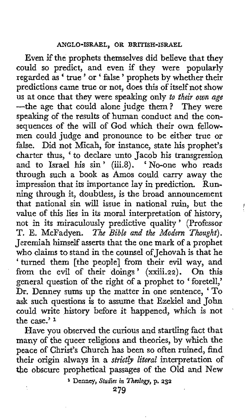Even if the prophets themselves did believe that they could so predict, and even if they were popularly regarded as ' true ' or ' false ' prophets by whether their predictions came true or not, does this of itself not show us at once that they were speaking only *to their own age*  -the age that could alone judge them? They were speaking of the results of human conduct and the consequences of the will of God which their own fellowmen could judge and pronounce to be either true **or**  false. Did not Micah, for instance, state his prophet's charter thus, ' to declare unto Jacob his transgression and to Israel his sin' (iii.8). 'No-one who reads through such a book as Amos could carry away the impression that its importance lay in prediction. Running through it, doubtless, is the broad announcement that national sin will issue in national ruin, but the value of this lies in its moral interpretation of history, not in its miraculously predictive quality ' (Professor T. E. McFadyen. *The Bible and the Modern Thought).*  Jeremiah himself asserts that the one mark of a prophet who claims to stand in the counsel of Jehovah is that he 'turned them [the people] from their evil way, and from the evil of their doings' (xxiii.22). On this general question of the right of a prophet to ' foretell,' Dr. Denney sums up the matter in one sentence, ' To ask such questions is to assume that Ezekiel and John could write history before it happened, which is not the case.' **<sup>1</sup>**

*1* 

Have you observed the curious and startling fact that many of the queer religions and theories, by which the peace of Christ's Church has been so often ruined, find their origin always in a *strictly literal* interpretation of *the* obscure prophetical passages of the Old and New

**I Denncy,** *Studies in Iheologvs* p. **232**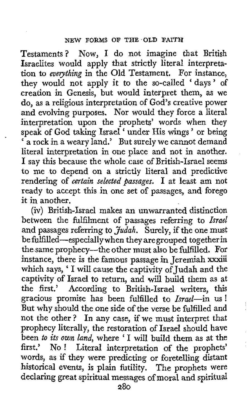Testaments? Now, I do not imagine that British Israelites would apply that strictly literal interpretation to everything in the Old Testament. For instance, they would not apply it to the so-called 'days' of creation in Genesis, but would interpret them, **as** we do, as a religious interpretation of God's creative power and evolving purposes. Nor would they force a literal interpretation upon the prophets' words when they speak of God taking Israel ' under His wings ' or being speak or God taking israed "under rus wings" or being<br>" a rock in a weary land." But surely we cannot demand literal interpretation in one place and not in another. I say this because the whole case of British-Israel seems to me to depend on a strictly literal and predictive rendering of certain selected *passages.* I at least am not ready to accept this in one set of passages, and forego it in another.

(iv) British-Israel makes an unwarranted distinction between the fulfilment of passages referring to *Ismel*  and passages referring to *Judah*. Surely, if the one must be fulfilled-especially when they aregrouped together in the-same prophecy-the other must also be fulfilled. For instance, there is the famous passage in Jeremiah xxxiii which says, ' I will cause the captivity of Judah and the captivity of Israel to return, and will build them as at the first,' According to British-Israel writers, this gracious promise has been fulfilled to *Israel*-in us! But why should the one side of the verse be fulfilled and not the other ? In any case, if we must interpret that prophecy literally, the restoration of Israel should have been to *its* own land, where ' I will build them as at the Footh to the community, where I will build them as at the first.' No! Literal interpretation of the prophets' words, as if they were predicting or foretelling distant historical events, is plain futility. The prophets were declaring great spiritual messages of moral and spiritual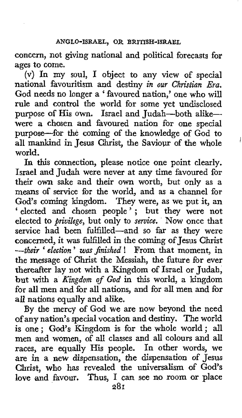concern, not giving national and political forecasts for ages to come.

(v) In my soul, I object to any view of special national favouritism and destiny *in our Christian Era.*  God needs no longer a ' favoured nation,' one who will rule and control the world for some yet undisclosed purpose of His own. Israel and Judah-both alikewere a chosen and favoured nation for one special purpose-for the coming of the knowledge of God to world. all mankind in Jesus Christ, the Saviour of the whole

In this connection, please notice one point clearly. Israel and Judah were never at any time favoured for their **own** sake and their **own** worth, but only as a means of service for the world, and as a channel for God's coming kingdom. They were, as we put it, an ' elected and chosen people'; but they were not elected to *privilege,* but only to *service.* Now once that service had been fulfilled-and so far as they were concerned, it **was** fulfilled in the coming of Jesus Christ *--their* ' *election* ' *was Jinished* ! From that moment, in the message of Christ the Messiah, the future for ever thereafter lay not with a Kingdom of Israel or Judah, but with a *Kingdom of God* in this world, a kingdom for all men and for all nations, and for all men and for all nations equally and alike.

By the mercy of God we are now beyond the need **of** any nation's special vocation and destiny. The world is one; *God's* Kingdom is for the whole world; all men and women, of all classes and all colours and all races, are equally His people. In other words, we are in a **new** *dispensation, the* dispensation of **Jesus**  Christ, who has revealed the universalism of God's love and favour. Thus, I can see no room or place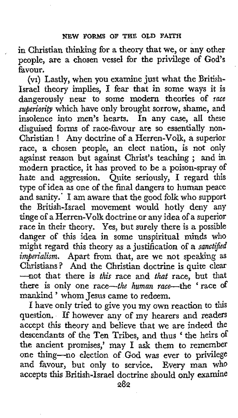in Christian thinking for a theory that we, or any other people, are a chosen vessel for the privilege of God's favour.

(vi) Lastly, when you examine just what the British-Israel theory implies, **I** fear that in some ways it is dangerously near to some modern theories **of** *race superiority* which have only brought sorrow, shame, and insolence into men's hearts. In any case, all these disguised forms of race-favour are so essentially non-Christian ! Any doctrine of a Herren-Volk, a superior race, a chosen people, an elect nation, is not only against reason but against Christ's teaching ; and in modern practice, it has proved to be a poison-spray of hate and aggression. Quite seriously, I regard this type of idea as one of the final dangers to human peace and sanity.' I am aware that the good folk who support the British-Israel movement would hotly deny any tinge **of** a Herren-Volk doctrine or any idea ofa superior race in their theory. Yes, but surely there is a possible danger **of** this idea in some unspiritual minds who might regard this theory as a justification of a sanctified imperialism. Apart from that, are we not speaking as Christians? And the Christian doctrine is quite clear --not that there is this race and that race, but that there is only one race-the human race-the 'race of mankind ' whom Jesus came to redeem.

I have only tried to give you my own reaction to **this**  question. If however any of my hearers and readers accept this theory and believe that we are indeed the descendants of the Ten Tribes, and thus 'the heirs of the ancient promises,' may I ask them to remember one thing-no election of God was ever to privilege and favour, but only to service. Every man who accepts this British-Israel doctrine should only examine